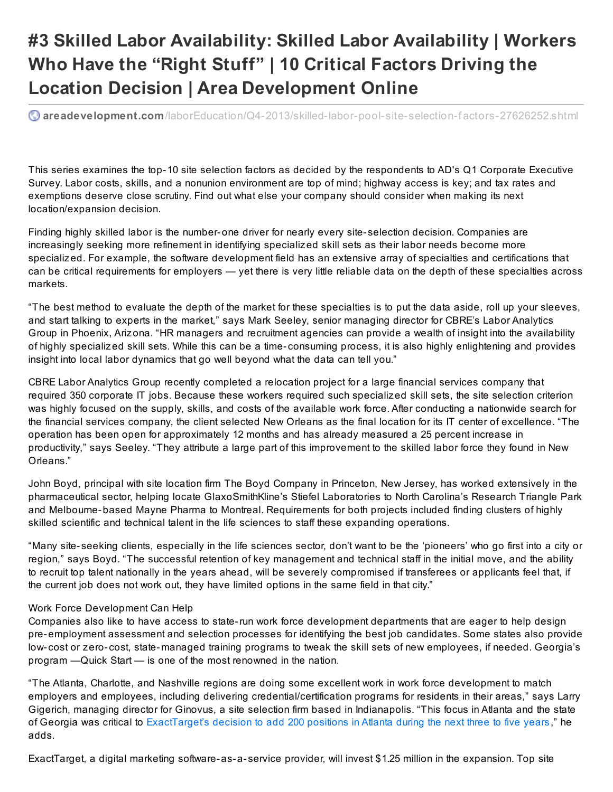## **#3 Skilled Labor Availability: Skilled Labor Availability | Workers Who Have the "Right Stuff" | 10 Critical Factors Driving the Location Decision | Area Development Online**

**C** areadevelopment.com[/laborEducation/Q4-2013/skilled-labor-pool-site-selection-f](http://www.areadevelopment.com/laborEducation/Q4-2013/skilled-labor-pool-site-selection-factors-27626252.shtml)actors-27626252.shtml

This series examines the top-10 site selection factors as decided by the respondents to AD's Q1 Corporate Executive Survey. Labor costs, skills, and a nonunion environment are top of mind; highway access is key; and tax rates and exemptions deserve close scrutiny. Find out what else your company should consider when making its next location/expansion decision.

Finding highly skilled labor is the number-one driver for nearly every site- selection decision. Companies are increasingly seeking more refinement in identifying specialized skill sets as their labor needs become more specialized. For example, the software development field has an extensive array of specialties and certifications that can be critical requirements for employers — yet there is very little reliable data on the depth of these specialties across markets.

"The best method to evaluate the depth of the market for these specialties is to put the data aside, roll up your sleeves, and start talking to experts in the market," says Mark Seeley, senior managing director for CBRE's Labor Analytics Group in Phoenix, Arizona. "HR managers and recruitment agencies can provide a wealth of insight into the availability of highly specialized skill sets. While this can be a time- consuming process, it is also highly enlightening and provides insight into local labor dynamics that go well beyond what the data can tell you."

CBRE Labor Analytics Group recently completed a relocation project for a large financial services company that required 350 corporate IT jobs. Because these workers required such specialized skill sets, the site selection criterion was highly focused on the supply, skills, and costs of the available work force. After conducting a nationwide search for the financial services company, the client selected New Orleans as the final location for its IT center of excellence. "The operation has been open for approximately 12 months and has already measured a 25 percent increase in productivity," says Seeley. "They attribute a large part of this improvement to the skilled labor force they found in New Orleans."

John Boyd, principal with site location firm The Boyd Company in Princeton, New Jersey, has worked extensively in the pharmaceutical sector, helping locate GlaxoSmithKline's Stiefel Laboratories to North Carolina's Research Triangle Park and Melbourne-based Mayne Pharma to Montreal. Requirements for both projects included finding clusters of highly skilled scientific and technical talent in the life sciences to staff these expanding operations.

"Many site- seeking clients, especially in the life sciences sector, don't want to be the 'pioneers' who go first into a city or region," says Boyd. "The successful retention of key management and technical staff in the initial move, and the ability to recruit top talent nationally in the years ahead, will be severely compromised if transferees or applicants feel that, if the current job does not work out, they have limited options in the same field in that city."

## Work Force Development Can Help

Companies also like to have access to state-run work force development departments that are eager to help design pre-employment assessment and selection processes for identifying the best job candidates. Some states also provide low- cost or zero- cost, state-managed training programs to tweak the skill sets of new employees, if needed. Georgia's program —Quick Start — is one of the most renowned in the nation.

"The Atlanta, Charlotte, and Nashville regions are doing some excellent work in work force development to match employers and employees, including delivering credential/certification programs for residents in their areas," says Larry Gigerich, managing director for Ginovus, a site selection firm based in Indianapolis. "This focus in Atlanta and the state of Georgia was critical to [ExactTarget's](http://www.areadevelopment.com/newsItems/5-17-2013/exacttarget-operations-center-expansion-atlanta-georgia793479.shtml) decision to add 200 positions in Atlanta during the next three to five years," he adds.

ExactTarget, a digital marketing software-as-a- service provider, will invest \$1.25 million in the expansion. Top site